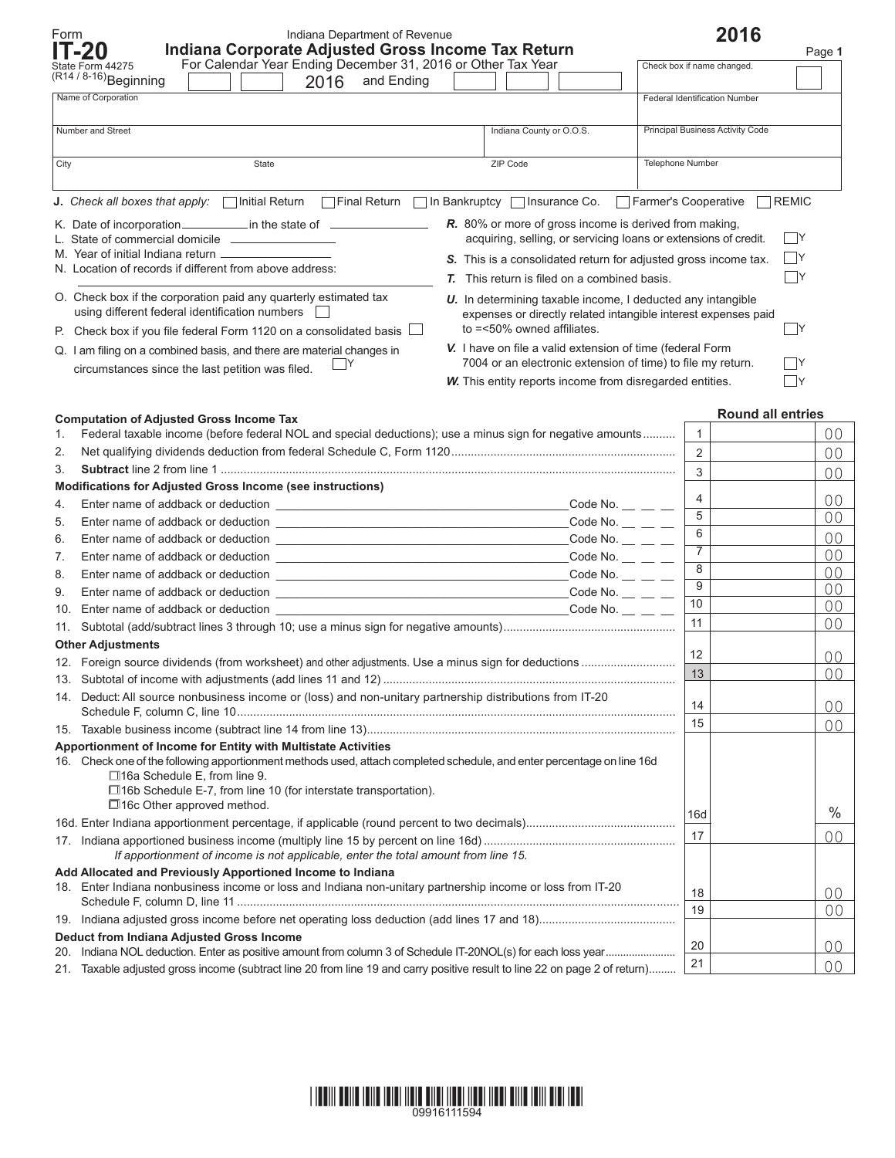| Form                                                                                                                  | Indiana Department of Revenue<br>Indiana Corporate Adjusted Gross Income Tax Return<br>IT-20                                                                  |                                                                    | 2016                             |                          |  |  |  |
|-----------------------------------------------------------------------------------------------------------------------|---------------------------------------------------------------------------------------------------------------------------------------------------------------|--------------------------------------------------------------------|----------------------------------|--------------------------|--|--|--|
|                                                                                                                       | For Calendar Year Ending December 31, 2016 or Other Tax Year<br>State Form 44275                                                                              |                                                                    | Check box if name changed.       | Page 1                   |  |  |  |
|                                                                                                                       | $(R14/8-16)$ Beginning<br>2016<br>and Ending                                                                                                                  |                                                                    |                                  |                          |  |  |  |
|                                                                                                                       | Name of Corporation                                                                                                                                           |                                                                    | Federal Identification Number    |                          |  |  |  |
|                                                                                                                       |                                                                                                                                                               |                                                                    |                                  |                          |  |  |  |
|                                                                                                                       | Number and Street                                                                                                                                             | Indiana County or O.O.S.                                           | Principal Business Activity Code |                          |  |  |  |
| City                                                                                                                  | State                                                                                                                                                         | ZIP Code                                                           | <b>Telephone Number</b>          |                          |  |  |  |
|                                                                                                                       |                                                                                                                                                               |                                                                    |                                  |                          |  |  |  |
|                                                                                                                       | <b>J.</b> Check all boxes that apply: $\Box$ Initial Return $\Box$ Final Return                                                                               | In Bankruptcy   Insurance Co.                                      | Farmer's Cooperative             | <b>REMIC</b>             |  |  |  |
|                                                                                                                       | R. 80% or more of gross income is derived from making.                                                                                                        |                                                                    |                                  |                          |  |  |  |
| acquiring, selling, or servicing loans or extensions of credit.<br>L. State of commercial domicile __________________ |                                                                                                                                                               |                                                                    |                                  |                          |  |  |  |
|                                                                                                                       | S. This is a consolidated return for adjusted gross income tax.                                                                                               |                                                                    |                                  | $\Box$ Y                 |  |  |  |
|                                                                                                                       | N. Location of records if different from above address:                                                                                                       | <b>T.</b> This return is filed on a combined basis.                |                                  | - Y                      |  |  |  |
|                                                                                                                       | O. Check box if the corporation paid any quarterly estimated tax                                                                                              | <b>U.</b> In determining taxable income, I deducted any intangible |                                  |                          |  |  |  |
|                                                                                                                       | using different federal identification numbers<br>expenses or directly related intangible interest expenses paid                                              |                                                                    |                                  |                          |  |  |  |
|                                                                                                                       | P. Check box if you file federal Form 1120 on a consolidated basis $\Box$                                                                                     | to =<50% owned affiliates.                                         |                                  | $\mathsf{Y}$             |  |  |  |
|                                                                                                                       | Q. I am filing on a combined basis, and there are material changes in                                                                                         | V. I have on file a valid extension of time (federal Form          |                                  |                          |  |  |  |
|                                                                                                                       | circumstances since the last petition was filed.                                                                                                              | 7004 or an electronic extension of time) to file my return.        |                                  | Y                        |  |  |  |
|                                                                                                                       |                                                                                                                                                               | W. This entity reports income from disregarded entities.           |                                  | $\Box$ y                 |  |  |  |
|                                                                                                                       |                                                                                                                                                               |                                                                    |                                  |                          |  |  |  |
|                                                                                                                       | <b>Computation of Adjusted Gross Income Tax</b>                                                                                                               |                                                                    |                                  | <b>Round all entries</b> |  |  |  |
| 1.                                                                                                                    | Federal taxable income (before federal NOL and special deductions); use a minus sign for negative amounts                                                     |                                                                    | $\mathbf{1}$                     | 00                       |  |  |  |
| 2.                                                                                                                    |                                                                                                                                                               | $\overline{2}$                                                     | 0 <sup>0</sup>                   |                          |  |  |  |
| 3.                                                                                                                    |                                                                                                                                                               |                                                                    | $\overline{3}$                   | 0 <sup>0</sup>           |  |  |  |
|                                                                                                                       | Modifications for Adjusted Gross Income (see instructions)                                                                                                    |                                                                    | 4                                | 00                       |  |  |  |
| 4.                                                                                                                    |                                                                                                                                                               | Code No. $\_\_$ $\_\_$                                             | $\overline{5}$                   | 0 <sup>0</sup>           |  |  |  |
| 5.<br>6.                                                                                                              |                                                                                                                                                               | Code No. $\_\_$ $\_\_$<br>Code No. $\_\_$ $\_\_$                   | $6\overline{6}$                  | 0 <sup>0</sup>           |  |  |  |
| 7.                                                                                                                    |                                                                                                                                                               | Code No. $\_\_$ $\_\_$                                             | $\overline{7}$                   | 00                       |  |  |  |
| 8.                                                                                                                    |                                                                                                                                                               | Code No. $\_\_$ $\_\_$                                             | $\overline{8}$                   | 0 <sup>0</sup>           |  |  |  |
| 9.                                                                                                                    |                                                                                                                                                               | Code No. $\_\_$ $\_\_$                                             | $\overline{9}$                   | 00                       |  |  |  |
|                                                                                                                       | 10. Enter name of addback or deduction                                                                                                                        | Code No. $\_\_$ $\_\_$                                             | 10                               | 00                       |  |  |  |
|                                                                                                                       |                                                                                                                                                               |                                                                    | 11                               | 00                       |  |  |  |
| <b>Other Adjustments</b>                                                                                              |                                                                                                                                                               |                                                                    |                                  |                          |  |  |  |
|                                                                                                                       |                                                                                                                                                               |                                                                    | 12                               | 00                       |  |  |  |
|                                                                                                                       |                                                                                                                                                               |                                                                    | 13                               | 0 <sup>0</sup>           |  |  |  |
| 14. Deduct: All source nonbusiness income or (loss) and non-unitary partnership distributions from IT-20              |                                                                                                                                                               |                                                                    |                                  |                          |  |  |  |
|                                                                                                                       |                                                                                                                                                               |                                                                    | 14                               | 00                       |  |  |  |
|                                                                                                                       |                                                                                                                                                               |                                                                    | 15                               | 0 <sup>0</sup>           |  |  |  |
| Apportionment of Income for Entity with Multistate Activities                                                         |                                                                                                                                                               |                                                                    |                                  |                          |  |  |  |
|                                                                                                                       | 16. Check one of the following apportionment methods used, attach completed schedule, and enter percentage on line 16d<br>$\Box$ 16a Schedule E, from line 9. |                                                                    |                                  |                          |  |  |  |
|                                                                                                                       | $\Box$ 16b Schedule E-7, from line 10 (for interstate transportation).                                                                                        |                                                                    |                                  |                          |  |  |  |
|                                                                                                                       | $\Box$ 16c Other approved method.                                                                                                                             |                                                                    |                                  |                          |  |  |  |
|                                                                                                                       |                                                                                                                                                               |                                                                    | 16d                              | $\%$                     |  |  |  |
|                                                                                                                       |                                                                                                                                                               |                                                                    | 17                               | 0 <sup>0</sup>           |  |  |  |
|                                                                                                                       | If apportionment of income is not applicable, enter the total amount from line 15.                                                                            |                                                                    |                                  |                          |  |  |  |
| Add Allocated and Previously Apportioned Income to Indiana                                                            |                                                                                                                                                               |                                                                    |                                  |                          |  |  |  |
|                                                                                                                       | 18. Enter Indiana nonbusiness income or loss and Indiana non-unitary partnership income or loss from IT-20                                                    |                                                                    | 18                               | 00                       |  |  |  |
|                                                                                                                       |                                                                                                                                                               |                                                                    | 19                               | 0 <sub>0</sub>           |  |  |  |
|                                                                                                                       | <b>Deduct from Indiana Adjusted Gross Income</b>                                                                                                              |                                                                    |                                  |                          |  |  |  |
| 20.                                                                                                                   |                                                                                                                                                               |                                                                    | 20                               | 00                       |  |  |  |
|                                                                                                                       | 21. Taxable adjusted gross income (subtract line 20 from line 19 and carry positive result to line 22 on page 2 of return)                                    |                                                                    | 21                               | 0 <sup>0</sup>           |  |  |  |